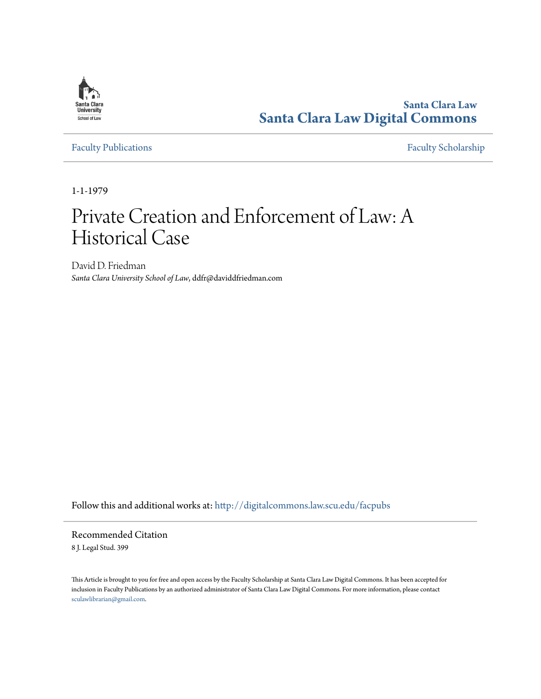

**Santa Clara Law [Santa Clara Law Digital Commons](http://digitalcommons.law.scu.edu?utm_source=digitalcommons.law.scu.edu%2Ffacpubs%2F558&utm_medium=PDF&utm_campaign=PDFCoverPages)**

[Faculty Publications](http://digitalcommons.law.scu.edu/facpubs?utm_source=digitalcommons.law.scu.edu%2Ffacpubs%2F558&utm_medium=PDF&utm_campaign=PDFCoverPages) [Faculty Scholarship](http://digitalcommons.law.scu.edu/faculty?utm_source=digitalcommons.law.scu.edu%2Ffacpubs%2F558&utm_medium=PDF&utm_campaign=PDFCoverPages)

1-1-1979

# Private Creation and Enforcement of Law: A Historical Case

David D. Friedman *Santa Clara University School of Law*, ddfr@daviddfriedman.com

Follow this and additional works at: [http://digitalcommons.law.scu.edu/facpubs](http://digitalcommons.law.scu.edu/facpubs?utm_source=digitalcommons.law.scu.edu%2Ffacpubs%2F558&utm_medium=PDF&utm_campaign=PDFCoverPages)

Recommended Citation

8 J. Legal Stud. 399

This Article is brought to you for free and open access by the Faculty Scholarship at Santa Clara Law Digital Commons. It has been accepted for inclusion in Faculty Publications by an authorized administrator of Santa Clara Law Digital Commons. For more information, please contact [sculawlibrarian@gmail.com](mailto:sculawlibrarian@gmail.com).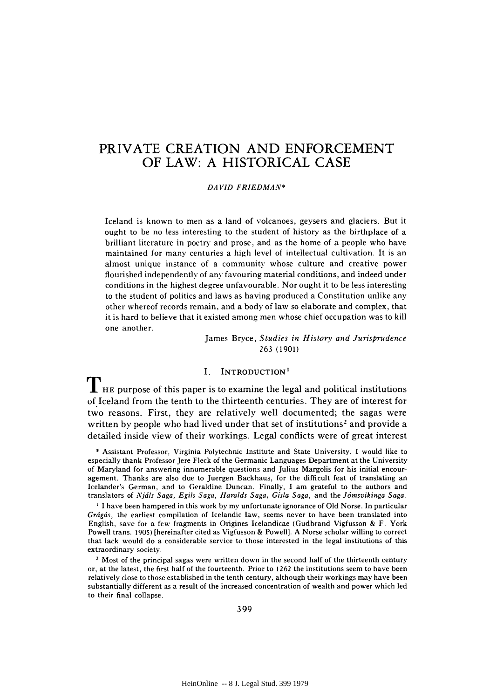# PRIVATE **CREATION AND ENFORCEMENT** OF LAW: **A** HISTORICAL **CASE**

# *DAVID FRIEDMAN\**

Iceland is known to men as a land of volcanoes, geysers and glaciers. But it ought to be no less interesting to the student of history as the birthplace of a brilliant literature in poetry and prose, and as the home of a people who have maintained for many centuries a high level of intellectual cultivation. It is an almost unique instance of a community whose culture and creative power flourished independently of any favouring material conditions, and indeed under conditions in the highest degree unfavourable. Nor ought it to be less interesting to the student of politics and laws as having produced a Constitution unlike any other whereof records remain, and a body of law so elaborate and complex, that it is hard to believe that it existed among men whose chief occupation was to kill one another.

> James Bryce, *Studies in History and Jurisprudence* 263 (1901)

# I. INTRODUCTION'

 $\bf{T}$  HE purpose of this paper is to examine the legal and political institutions of Iceland from the tenth to the thirteenth centuries. They are of interest for two reasons. First, they are relatively well documented; the sagas were written by people who had lived under that set of institutions<sup>2</sup> and provide a detailed inside view of their workings. Legal conflicts were of great interest

\* Assistant Professor, Virginia Polytechnic Institute and State University. I would like to especially thank Professor Jere Fleck of the Germanic Languages Department at the University of Maryland for answering innumerable questions and Julius Margolis for his initial encouragement. Thanks are also due to Juergen Backhaus, for the difficult feat of translating an Icelander's German, and to Geraldine Duncan. Finally, I am grateful to the authors and translators of *Njdls Saga, Egils Saga, Haralds Saga, Gisla Saga,* and the *J6msvikinga Saga.*

 $\frac{1}{2}$  I have been hampered in this work by my unfortunate ignorance of Old Norse. In particular *Grdgds,* the earliest compilation of Icelandic law, seems never to have been translated into English, save for a few fragments in Origines Icelandicae (Gudbrand Vigfusson & F. York Powell trans. 1905) [hereinafter cited as Vigfusson & Powell]. A Norse scholar willing to correct that lack would do a considerable service to those interested in the legal institutions of this extraordinary society.

<sup>2</sup> Most of the principal sagas were written down in the second half of the thirteenth century or, at the latest, the first half of the fourteenth. Prior to 1262 the institutions seem to have been relatively close to those established in the tenth century, although their workings may have been substantially different as a result of the increased concentration of wealth and power which led to their final collapse.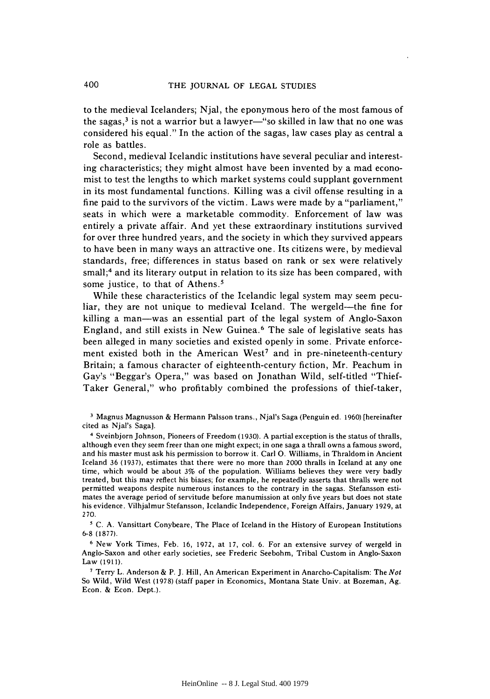to the medieval Icelanders; Njal, the eponymous hero of the most famous of the sagas,<sup>3</sup> is not a warrior but a lawyer-"so skilled in law that no one was considered his equal." In the action of the sagas, law cases play as central a role as battles.

Second, medieval Icelandic institutions have several peculiar and interesting characteristics; they might almost have been invented by a mad economist to test the lengths to which market systems could supplant government in its most fundamental functions. Killing was a civil offense resulting in a fine paid to the survivors of the victim. Laws were made by a "parliament," seats in which were a marketable commodity. Enforcement of law was entirely a private affair. And yet these extraordinary institutions survived for over three hundred years, and the society in which they survived appears to have been in many ways an attractive one. Its citizens were, by medieval standards, free; differences in status based on rank or sex were relatively small;<sup>4</sup> and its literary output in relation to its size has been compared, with some justice, to that of Athens.<sup>5</sup>

While these characteristics of the Icelandic legal system may seem peculiar, they are not unique to medieval Iceland. The wergeld—the fine for killing a man-was an essential part of the legal system of Anglo-Saxon England, and still exists in New Guinea. 6 The sale of legislative seats has been alleged in many societies and existed openly in some. Private enforcement existed both in the American West<sup>7</sup> and in pre-nineteenth-century Britain; a famous character of eighteenth-century fiction, Mr. Peachum in Gay's "Beggar's Opera," was based on Jonathan Wild, self-titled "Thief-Taker General," who profitably combined the professions of thief-taker,

**1** C. A. Vansittart Conybeare, The Place of Iceland in the History of European Institutions 6-8 (1877).

**<sup>6</sup>**New York Times, Feb. **16,** 1972, at **17,** col. 6. For an extensive survey of wergeld in Anglo-Saxon and other early societies, see Frederic Seebohm, Tribal Custom in Anglo-Saxon Law (1911).

**I** Terry L. Anderson & P. **J.** Hill, An American Experiment in Anarcho-Capitalism: The *Not* So Wild, Wild West (1978) (staff paper in Economics, Montana State Univ. at Bozeman, Ag. Econ. & Econ. Dept.).

**<sup>3</sup>** Magnus Magnusson & Hermann Palsson trans., Njal's Saga (Penguin ed. **1960)** [hereinafter cited as Nial's Saga].

<sup>4</sup> Sveinbjorn Johnson, Pioneers of Freedom (1930). A partial exception is the status of thralls, although even they seem freer than one might expect; in one saga a thrall owns a famous sword, and his master must ask his permission to borrow it. Carl **0.** Williams, in Thraldom in Ancient Iceland 36 (1937), estimates that there were no more than 2000 thralls in Iceland at any one time, which would be about 3% of the population. Williams believes they were very badly treated, but this may reflect his biases; for example, he repeatedly asserts that thralls were not permitted weapons despite numerous instances to the contrary in the sagas. Stefansson estimates the average period of servitude before manumission at only five years but does not state his evidence. Vilhjalmur Stefansson, Icelandic Independence, Foreign Affairs, January 1929, at 270.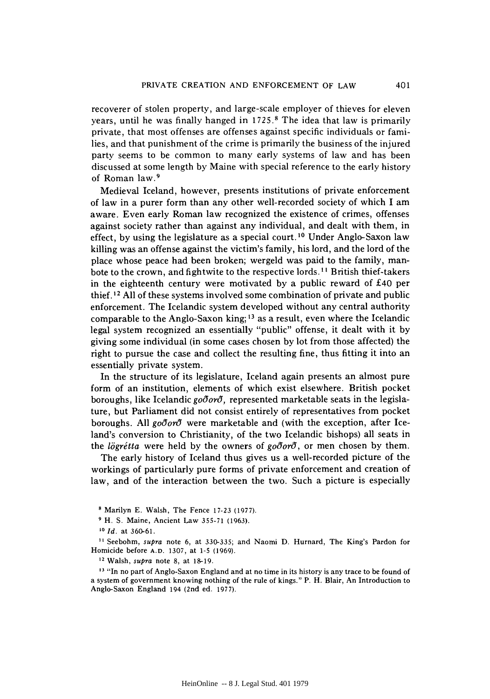recoverer of stolen property, and large-scale employer of thieves for eleven years, until he was finally hanged in  $1725$ .<sup>8</sup> The idea that law is primarily private, that most offenses are offenses against specific individuals or families, and that punishment of the crime is primarily the business of the injured party seems to be common to many early systems of law and has been discussed at some length by Maine with special reference to the early history of Roman law.<sup>9</sup>

Medieval Iceland, however, presents institutions of private enforcement of law in a purer form than any other well-recorded society of which I am aware. Even early Roman law recognized the existence of crimes, offenses against society rather than against any individual, and dealt with them, in effect, by using the legislature as a special court.<sup>10</sup> Under Anglo-Saxon law killing was an offense against the victim's family, his lord, and the lord of the place whose peace had been broken; wergeld was paid to the family, manbote to the crown, and fightwite to the respective lords. " **I** British thief-takers in the eighteenth century were motivated by a public reward of  $\text{\pounds}40$  per thief. ' 2 All of these systems involved some combination of private and public enforcement. The Icelandic system developed without any central authority comparable to the Anglo-Saxon king;  $13$  as a result, even where the Icelandic legal system recognized an essentially "public" offense, it dealt with it by giving some individual (in some cases chosen by lot from those affected) the right to pursue the case and collect the resulting fine, thus fitting it into an essentially private system.

In the structure of its legislature, Iceland again presents an almost pure form of an institution, elements of which exist elsewhere. British pocket boroughs, like Icelandic goodred, represented marketable seats in the legislature, but Parliament did not consist entirely of representatives from pocket boroughs. All  $g\circ\sigma\circ\sigma$  were marketable and (with the exception, after Iceland's conversion to Christianity, of the two Icelandic bishops) all seats in the lögrétta were held by the owners of gobord, or men chosen by them.

The early history of Iceland thus gives us a well-recorded picture of the workings of particularly pure forms of private enforcement and creation of law, and of the interaction between the two. Such a picture is especially

**1** Seebohm, *supra* note 6, at 330-335; and Naomi D. Hurnard, The King's Pardon for Homicide before **A.D.** 1307, at 1-5 (1969).

**<sup>12</sup>**Walsh, *supra* note 8, at 18-19.

**'3** "In no part of Anglo-Saxon England and at no time in its history is any trace to be found of a system of government knowing nothing of the rule of kings." P. H. Blair, An Introduction to Anglo-Saxon England 194 (2nd ed. 1977).

**<sup>8</sup>**Marilyn E. Walsh, The Fence 17-23 (1977).

<sup>&</sup>lt;sup>9</sup> H. S. Maine, Ancient Law 355-71 (1963).

*<sup>1</sup> <sup>0</sup>Id.* at 360-61.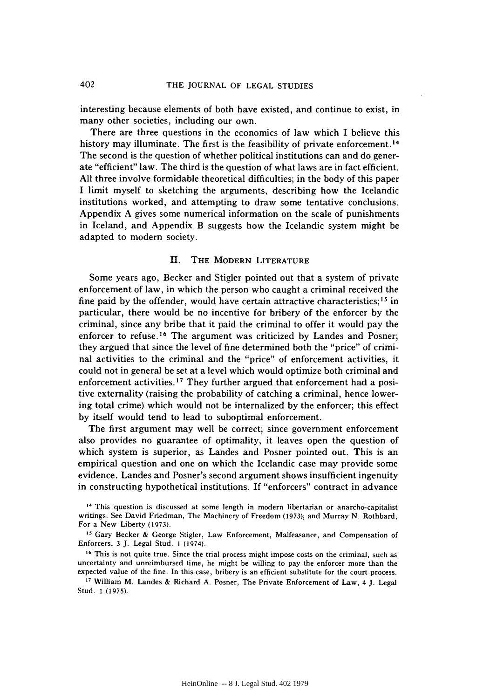interesting because elements of both have existed, and continue to exist, in many other societies, including our own.

There are three questions in the economics of law which **I** believe this history may illuminate. The first is the feasibility of private enforcement.<sup>14</sup> The second is the question of whether political institutions can and do generate "efficient" law. The third is the question of what laws are in fact efficient. **All** three involve formidable theoretical difficulties; in the body of this paper I limit myself to sketching the arguments, describing how the Icelandic institutions worked, and attempting to draw some tentative conclusions. Appendix **A** gives some numerical information on the scale of punishments in Iceland, and Appendix B suggests how the Icelandic system might be adapted to modern society.

# II. **THE MODERN LITERATURE**

Some years ago, Becker and Stigler pointed out that a system of private enforcement of law, in which the person who caught a criminal received the fine paid by the offender, would have certain attractive characteristics;<sup>15</sup> in particular, there would be no incentive for bribery of the enforcer **by** the criminal, since any bribe that it paid the criminal to offer it would pay the enforcer to refuse.<sup>16</sup> The argument was criticized by Landes and Posner; they argued that since the level of fine determined both the "price" of criminal activities to the criminal and the "price" of enforcement activities, it could not in general be set at a level which would optimize both criminal and enforcement activities.<sup>17</sup> They further argued that enforcement had a positive externality (raising the probability of catching a criminal, hence lowering total crime) which would not be internalized **by** the enforcer; this effect **by** itself would tend to lead to suboptimal enforcement.

The first argument may well be correct; since government enforcement also provides no guarantee of optimality, it leaves open the question of which system is superior, as Landes and Posner pointed out. This is an empirical question and one on which the Icelandic case may provide some evidence. Landes and Posner's second argument shows insufficient ingenuity in constructing hypothetical institutions. If "enforcers" contract in advance

<sup>&</sup>lt;sup>14</sup> This question is discussed at some length in modern libertarian or anarcho-capitalist writings. See David Friedman, The Machinery of Freedom **(1973);** and Murray **N.** Rothbard, For a New Liberty **(1973).**

**Is** Gary Becker **&** George Stigler, Law Enforcement, Malfeasance, and Compensation of Enforcers, **3 J.** Legal Stud. **1** (1974).

**<sup>16</sup>** This is not quite true. Since the trial process might impose costs on the criminal, such as uncertainty and unreimbursed time, he might be willing to pay the enforcer more than the expected value of the fine. In this case, bribery is an efficient substitute for the court process.

**<sup>17</sup>** William M. Landes **&** Richard **A.** Posner, The Private Enforcement of Law, 4 **J.** Legal Stud. **1 (1975).**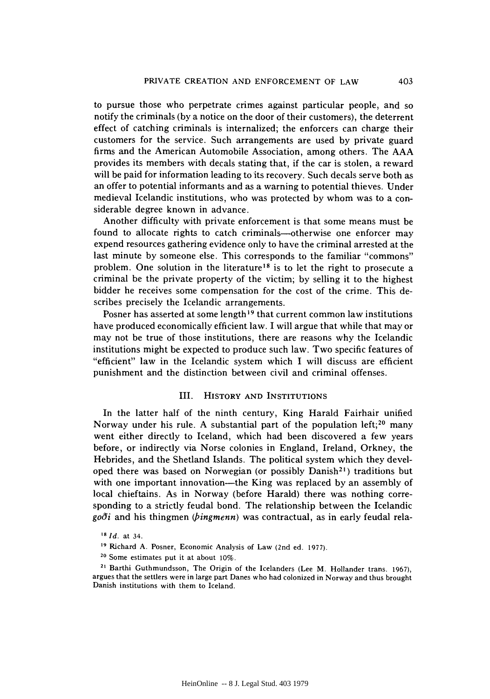to pursue those who perpetrate crimes against particular people, and so notify the criminals (by a notice on the door of their customers), the deterrent effect of catching criminals is internalized; the enforcers can charge their customers for the service. Such arrangements are used by private guard firms and the American Automobile Association, among others. The AAA provides its members with decals stating that, if the car is stolen, a reward will be paid for information leading to its recovery. Such decals serve both as an offer to potential informants and as a warning to potential thieves. Under medieval Icelandic institutions, who was protected by whom was to a considerable degree known in advance.

Another difficulty with private enforcement is that some means must be found to allocate rights to catch criminals-otherwise one enforcer may expend resources gathering evidence only to have the criminal arrested at the last minute by someone else. This corresponds to the familiar "commons" problem. One solution in the literature<sup>18</sup> is to let the right to prosecute a criminal be the private property of the victim; by selling it to the highest bidder he receives some compensation for the cost of the crime. This describes precisely the Icelandic arrangements.

Posner has asserted at some length<sup>19</sup> that current common law institutions have produced economically efficient law. I will argue that while that may or may not be true of those institutions, there are reasons why the Icelandic institutions might be expected to produce such law. Two specific features of "efficient" law in the Icelandic system which I will discuss are efficient punishment and the distinction between civil and criminal offenses.

# III. HISTORY AND INSTITUTIONS

In the latter half of the ninth century, King Harald Fairhair unified Norway under his rule. A substantial part of the population left;<sup>20</sup> many went either directly to Iceland, which had been discovered a few years before, or indirectly via Norse colonies in England, Ireland, Orkney, the Hebrides, and the Shetland Islands. The political system which they developed there was based on Norwegian (or possibly  $Danish^{21}$ ) traditions but with one important innovation—the King was replaced by an assembly of local chieftains. As in Norway (before Harald) there was nothing corresponding to a strictly feudal bond. The relationship between the Icelandic *godi* and his thingmen *(Pingmenn)* was contractual, as in early feudal rela-

**<sup>18</sup>** *Id.* at 34.

**<sup>19</sup>**Richard A. Posner, Economic Analysis of Law (2nd ed. 1977).

**<sup>20</sup>**Some estimates put it at about 10%.

**<sup>21</sup>**Barthi Guthmundsson, The Origin of the Icelanders (Lee M. Hollander trans. 1967), argues that the settlers were in large part Danes who had colonized in Norway and thus brought Danish institutions with them to Iceland.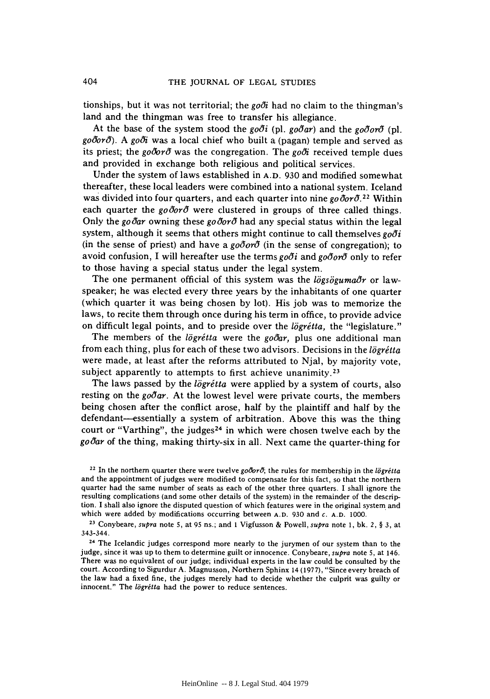tionships, but it was not territorial; the  $g \circ \tilde{\sigma}$  had no claim to the thingman's land and the thingman was free to transfer his allegiance.

At the base of the system stood the  $g \circ \partial i$  (pl.  $g \circ \partial a r$ ) and the  $g \circ \partial \partial r \partial f$  (pl. goðorð). A goði was a local chief who built a (pagan) temple and served as its priest; the *godord* was the congregation. The *godi* received temple dues and provided in exchange both religious and political services.

Under the system of laws established in A.D. 930 and modified somewhat thereafter, these local leaders were combined into a national system. Iceland was divided into four quarters, and each quarter into nine  $g \partial \partial \partial \partial \partial \partial \partial P$ .<sup>22</sup> Within each quarter the  $g\phi\ddot{\phi}$  were clustered in groups of three called things. Only the *go'dar* owning these *go'dor'd* had any special status within the legal system, although it seems that others might continue to call themselves  $\epsilon \omega \partial i$ (in the sense of priest) and have a  $g \circ \partial \circ \partial$  (in the sense of congregation); to avoid confusion, I will hereafter use the terms  $g \circ \partial i$  and  $g \circ \partial \partial \partial \partial j$  only to refer to those having a special status under the legal system.

The one permanent official of this system was the *logsoguma* $\sigma$  or lawspeaker; he was elected every three years by the inhabitants of one quarter (which quarter it was being chosen by lot). His job was to memorize the laws, to recite them through once during his term in office, to provide advice on difficult legal points, and to preside over the *16gritta,* the "legislature."

The members of the *lögrétta* were the *goðar*, plus one additional man from each thing, plus for each of these two advisors. Decisions in the *lögretta* were made, at least after the reforms attributed to Njal, by majority vote, subject apparently to attempts to first achieve unanimity.<sup>23</sup>

The laws passed by the *lögrétta* were applied by a system of courts, also resting on the *godar.* At the lowest level were private courts, the members being chosen after the conflict arose, half by the plaintiff and half by the defendant—essentially a system of arbitration. Above this was the thing court or "Varthing", the judges 24 in which were chosen twelve each by the *godar* of the thing, making thirty-six in all. Next came the quarter-thing for

**22** In the northern quarter there were twelve *go&r6;* the rules for membership in the *l6gritta* and the appointment of judges were modified to compensate for this fact, so that the northern quarter had the same number of seats as each of the other three quarters. I shall ignore the resulting complications (and some other details of the system) in the remainder of the description. I shall also ignore the disputed question of which features were in the original system and which were added by modifications occurring between **A.D.** 930 and *c.* **A.D.** 1000.

**23** Conybeare, *supra* note 5, at 95 ns.; and 1 Vigfusson & Powell, *supra* note 1, bk. 2, § 3, at 343-344.

**<sup>24</sup>**The Icelandic judges correspond more nearly to the jurymen of our system than to the judge, since it was up to them to determine guilt or innocence. Conybeare, *supra* note 5, at 146. There was no equivalent of our judge; individual experts in the law could be consulted by the court. According to Sigurdur **A.** Magnusson, Northern Sphinx 14 **(1977),** "Since every breach of the law had a fixed fine, the judges merely had to decide whether the culprit was guilty or innocent." The *16gritta* had the power to reduce sentences.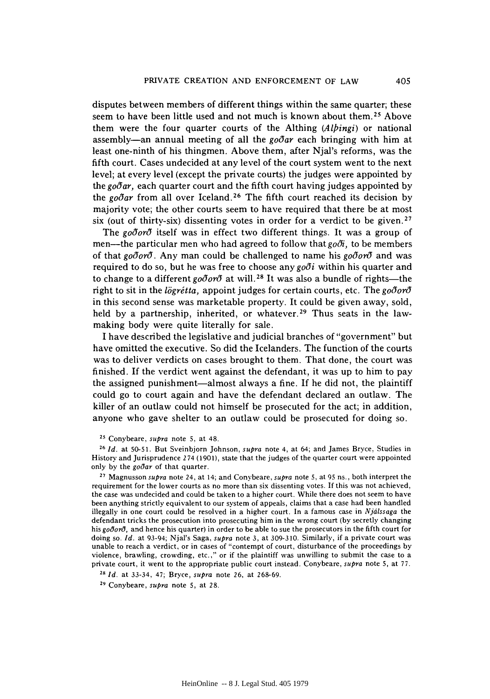disputes between members of different things within the same quarter; these seem to have been little used and not much is known about them. 25 Above them were the four quarter courts of the Althing *(Al/ingi)* or national assembly-an annual meeting of all the *godar* each bringing with him at least one-ninth of his thingmen. Above them, after Njal's reforms, was the fifth court. Cases undecided at any level of the court system went to the next level; at every level (except the private courts) the judges were appointed by the  $g_0\partial a r$ , each quarter court and the fifth court having judges appointed by the  $g_0\tilde{\sigma}$ ar from all over Iceland.<sup>26</sup> The fifth court reached its decision by majority vote; the other courts seem to have required that there be at most six (out of thirty-six) dissenting votes in order for a verdict to be given.<sup>27</sup>

The godord itself was in effect two different things. It was a group of men-the particular men who had agreed to follow that goot, to be members of that *godord*. Any man could be challenged to name his *godord* and was required to do so, but he was free to choose any  $g \circ \partial i$  within his quarter and to change to a different go<sup> $\partial$ </sup> or<sup>2</sup> at will.<sup>28</sup> It was also a bundle of rights—the right to sit in the *lögrétta*, appoint judges for certain courts, etc. The *go ord* in this second sense was marketable property. It could be given away, sold, held by a partnership, inherited, or whatever.<sup>29</sup> Thus seats in the lawmaking body were quite literally for sale.

I have described the legislative and judicial branches of "government" but have omitted the executive. So did the Icelanders. The function of the courts was to deliver verdicts on cases brought to them. That done, the court was finished. If the verdict went against the defendant, it was up to him to pay the assigned punishment-almost always a fine. If he did not, the plaintiff could go to court again and have the defendant declared an outlaw. The killer of an outlaw could not himself be prosecuted for the act; in addition, anyone who gave shelter to an outlaw could be prosecuted for doing so.

21 Magnusson *supra* note 24, at 14; and Conybeare, *supra* note **5,** at 95 ns., both interpret the requirement for the lower courts as no more than six dissenting votes. If this was not achieved, the case was undecided and could be taken to a higher court. While there does not seem to have been anything strictly equivalent to our system of appeals, claims that a case had been handled illegally in one court could be resolved in a higher court. In a famous case in *Njdlssaga* the defendant tricks the prosecution into prosecuting him in the wrong court (by secretly changing his go*ðorð*, and hence his quarter) in order to be able to sue the prosecutors in the fifth court for doing so. *Id.* at 93-94; Njal's Saga, *supra* note 3, at 309-310. Similarly, if a private court was unable to reach a verdict, or in cases of "contempt of court, disturbance of the proceedings by violence, brawling, crowding, etc.," or if the plaintiff was unwilling to submit the case to a private court, it went to the appropriate public court instead. Conybeare, *supra* note 5, at 77.

**<sup>25</sup>**Conybeare, *supra* note 5, at 48.

**<sup>26</sup>** *Id.* at 50-51. But Sveinbjorn Johnson, *supra* note 4, at 64; and James Bryce, Studies in History and Jurisprudence 274 (1901), state that the judges of the quarter court were appointed only by the *godar* of that quarter.

**<sup>28</sup>***Id.* at 33-34, 47; Bryce, *supra* note 26, at 268-69.

**<sup>29</sup>**Conybeare, *supra* note 5, at 28.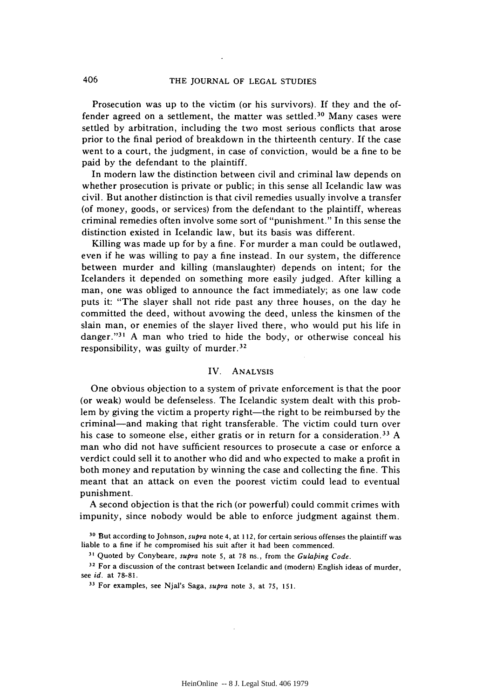Prosecution was up to the victim (or his survivors). If they and the offender agreed on a settlement, the matter was settled.<sup>30</sup> Many cases were settled by arbitration, including the two most serious conflicts that arose prior to the final period of breakdown in the thirteenth century. If the case went to a court, the judgment, in case of conviction, would be a fine to be paid by the defendant to the plaintiff.

In modern law the distinction between civil and criminal law depends on whether prosecution is private or public; in this sense all Icelandic law was civil. But another distinction is that civil remedies usually involve a transfer (of money, goods, or services) from the defendant to the plaintiff, whereas criminal remedies often involve some sort of "punishment." In this sense the distinction existed in Icelandic law, but its basis was different.

Killing was made up for by a fine. For murder a man could be outlawed, even if he was willing to pay a fine instead. In our system, the difference between murder and killing (manslaughter) depends on intent; for the Icelanders it depended on something more easily judged. After killing a man, one was obliged to announce the fact immediately; as one law code puts it: "The slayer shall not ride past any three houses, on the day he committed the deed, without avowing the deed, unless the kinsmen of the slain man, or enemies of the slayer lived there, who would put his life in danger."<sup>31</sup> A man who tried to hide the body, or otherwise conceal his responsibility, was guilty of murder. <sup>32</sup>

#### IV. ANALYSIS

One obvious objection to a system of private enforcement is that the poor (or weak) would be defenseless. The Icelandic system dealt with this problem by giving the victim a property right—the right to be reimbursed by the criminal-and making that right transferable. The victim could turn over his case to someone else, either gratis or in return for a consideration.<sup>33</sup> A man who did not have sufficient resources to prosecute a case or enforce a verdict could sell it to another who did and who expected to make a profit in both money and reputation by winning the case and collecting the fine. This meant that an attack on even the poorest victim could lead to eventual punishment.

A second objection is that the rich (or powerful) could commit crimes with impunity, since nobody would be able to enforce judgment against them.

**<sup>30</sup>**But according to Johnson, *supra* note 4, at 112, for certain serious offenses the plaintiff was liable to a fine if he compromised his suit after it had been commenced.

**<sup>31</sup>**Quoted by Conybeare, *supra* note 5, at 78 ns., from the *Gulaking Code.*

**<sup>32</sup>** For a discussion of the contrast between Icelandic and (modern) English ideas of murder, see id. at 78-81.

**<sup>33</sup>** For examples, see Njal's Saga, supra note 3, at 75, 151.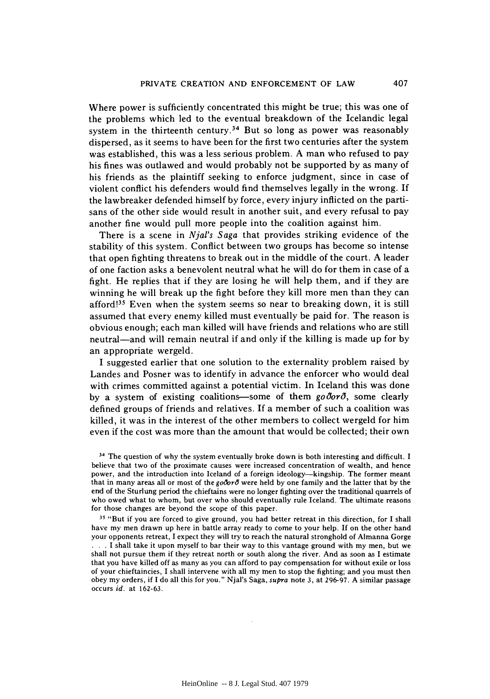Where power is sufficiently concentrated this might be true; this was one of the problems which led to the eventual breakdown of the Icelandic legal system in the thirteenth century.<sup>34</sup> But so long as power was reasonably dispersed, as it seems to have been for the first two centuries after the system was established, this was a less serious problem. A man who refused to pay his fines was outlawed and would probably not be supported by as many of his friends as the plaintiff seeking to enforce judgment, since in case of violent conflict his defenders would find themselves legally in the wrong. If the lawbreaker defended himself by force, every injury inflicted on the partisans of the other side would result in another suit, and every refusal to pay another fine would pull more people into the coalition against him.

There is a scene in *Njal's Saga* that provides striking evidence of the stability of this system. Conflict between two groups has become so intense that open fighting threatens to break out in the middle of the court. A leader of one faction asks a benevolent neutral what he will do for them in case of a fight. He replies that if they are losing he will help them, and if they are winning he will break up the fight before they kill more men than they can afford!<sup>35</sup> Even when the system seems so near to breaking down, it is still assumed that every enemy killed must eventually be paid for. The reason is obvious enough; each man killed will have friends and relations who are still neutral-and will remain neutral if and only if the killing is made up for by an appropriate wergeld.

I suggested earlier that one solution to the externality problem raised by Landes and Posner was to identify in advance the enforcer who would deal with crimes committed against a potential victim. In Iceland this was done by a system of existing coalitions-some of them  $g \circ \overline{\partial} \circ r \overline{\partial}$ , some clearly defined groups of friends and relatives. If a member of such a coalition was killed, it was in the interest of the other members to collect wergeld for him even if the cost was more than the amount that would be collected; their own

<sup>34</sup> The question of why the system eventually broke down is both interesting and difficult. I believe that two of the proximate causes were increased concentration of wealth, and hence power, and the introduction into Iceland of a foreign ideology-kingship. The former meant that in many areas all or most of the *gotor6* were held by one family and the latter that by the end of the Sturlung period the chieftains were no longer fighting over the traditional quarrels of who owed what to whom, but over who should eventually rule Iceland. The ultimate reasons for those changes are beyond the scope of this paper.

**<sup>35</sup>**"But if you are forced to give ground, you had better retreat in this direction, for I shall have my men drawn up here in battle array ready to come to your help. If on the other hand your opponents retreat, I expect they will try to reach the natural stronghold of Almanna Gorge • . I shall take it upon myself to bar their way to this vantage ground with my men, but we shall not pursue them if they retreat north or south along the river. And as soon as I estimate that you have killed off as many as you can afford to pay compensation for without exile or loss of your chieftaincies, I shall intervene with all my men to stop the fighting; and you must then obey my orders, if I do all this for you." Njal's Saga, *supra* note 3, at 296-97. A similar passage occurs *id.* at 162-63.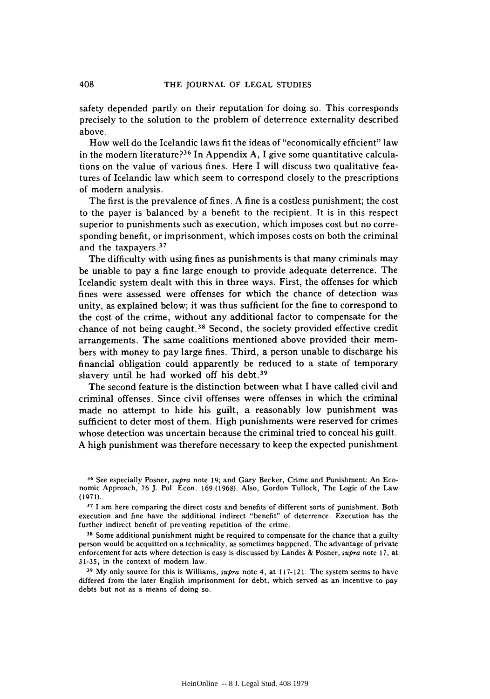safety depended partly on their reputation for doing so. This corresponds precisely to the solution to the problem of deterrence externality described above.

How well do the Icelandic laws fit the ideas of "economically efficient" law in the modern literature?<sup>36</sup> In Appendix A, I give some quantitative calculations on the value of various fines. Here I will discuss two qualitative features of Icelandic law which seem to correspond closely to the prescriptions of modern analysis.

The first is the prevalence of fines. A fine is a costless punishment; the cost to the payer is balanced by a benefit to the recipient. It is in this respect superior to punishments such as execution, which imposes cost but no corresponding benefit, or imprisonment, which imposes costs on both the criminal and the taxpayers.<sup>37</sup>

The difficulty with using fines as punishments is that many criminals may be unable to pay a fine large enough to provide adequate deterrence. The Icelandic system dealt with this in three ways. First, the offenses for which fines were assessed were offenses for which the chance of detection was unity, as explained below; it was thus sufficient for the fine to correspond to the cost of the crime, without any additional factor to compensate for the chance of not being caught.<sup>38</sup> Second, the society provided effective credit arrangements. The same coalitions mentioned above provided their members with money to pay large fines. Third, a person unable to discharge his financial obligation could apparently be reduced to a state of temporary slavery until he had worked off his debt. <sup>39</sup>

The second feature is the distinction between what I have called civil and criminal offenses. Since civil offenses were offenses in which the criminal made no attempt to hide his guilt, a reasonably low punishment was sufficient to deter most of them. High punishments were reserved for crimes whose detection was uncertain because the criminal tried to conceal his guilt. A high punishment was therefore necessary to keep the expected punishment

**<sup>36</sup>** See especially Posner, *supra* note 19; and Gary Becker, Crime and Punishment: An Economic Approach, 76 J. Pol. Econ. 169 (1968). Also, Gordon Tullock, The Logic of the Law (1971).

**<sup>37</sup>**I am here comparing the direct costs and benefits of different sorts of punishment. Both execution and fine have the additional indirect "benefit" of deterrence. Execution has the further indirect benefit of preventing repetition of the crime.

**<sup>38</sup>**Some additional punishment might be required to compensate for the chance that a guilty person would be acquitted on a technicality, as sometimes happened. The advantage of private enforcement for acts where detection is easy is discussed by Landes & Posner, *supra* note 17, at 31-35, in the context of modern law.

**<sup>39</sup> My** only source for this is Williams, *supra* note 4, at 117-12 1. The system seems to have differed from the later English imprisonment for debt, which served as an incentive to pay debts but not as a means of doing so.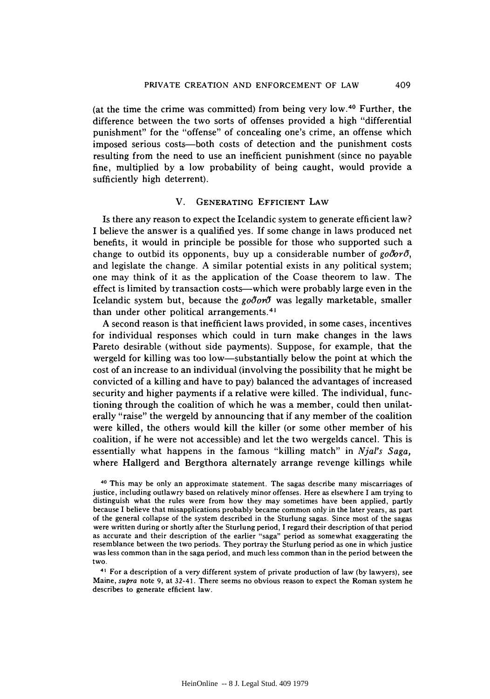(at the time the crime was committed) from being very low. 40 Further, the difference between the two sorts of offenses provided a high "differential punishment" for the "offense" of concealing one's crime, an offense which imposed serious costs-both costs of detection and the punishment costs resulting from the need to use an inefficient punishment (since no payable fine, multiplied by a low probability of being caught, would provide a sufficiently high deterrent).

# V. **GENERATING EFFICIENT LAW**

Is there any reason to expect the Icelandic system to generate efficient law? I believe the answer is a qualified yes. If some change in laws produced net benefits, it would in principle be possible for those who supported such a change to outbid its opponents, buy up a considerable number of *godor<sup>6</sup> ,* and legislate the change. **A** similar potential exists in any political system; one may think of it as the application of the Coase theorem to law. The effect is limited **by** transaction costs-which were probably large even in the Icelandic system but, because the gobor<sup>7</sup> was legally marketable, smaller than under other political arrangements. 4'

**A** second reason is that inefficient laws provided, in some cases, incentives for individual responses which could in turn make changes in the laws Pareto desirable (without side payments). Suppose, for example, that the wergeld for killing was too low-substantially below the point at which the cost of an increase to an individual (involving the possibility that he might be convicted of a killing and have to pay) balanced the advantages of increased security and higher payments if a relative were killed. The individual, functioning through the coalition of which he was a member, could then unilaterally "raise" the wergeld **by** announcing that if any member of the coalition were killed, the others would kill the killer (or some other member of his coalition, if he were not accessible) and let the two wergelds cancel. This is essentially what happens in the famous "killing match" in *Njal's Saga,* where Hallgerd and Bergthora alternately arrange revenge killings while

**<sup>40</sup>**This may be only an approximate statement. The sagas describe many miscarriages of justice, including outlawry based on relatively minor offenses. Here as elsewhere **I** am trying to distinguish what the rules were from how they may sometimes have been applied, partly because I believe that misapplications probably became common only in the later years, as part of the general collapse of the system described in the Sturlung sagas. Since most of the sagas were written during or shortly after the Sturlung period, **I** regard their description of that period as accurate and their description of the earlier "saga" period as somewhat exaggerating the resemblance between the two periods. They portray the Sturlung period as one in which justice was less common than in the saga period, and much less common than in the period between the two.

41 For a description of a very different system of private production of law **(by** lawyers), see Maine, *supra* note **9,** at 32-41. There seems no obvious reason to expect the Roman system he describes to generate efficient law.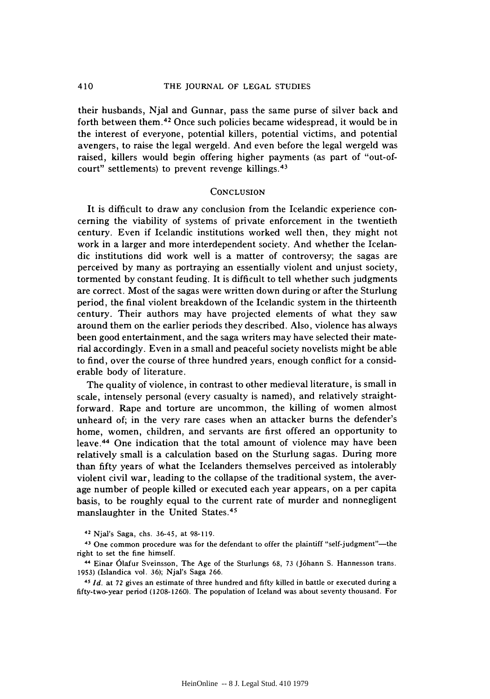their husbands, Njal and Gunnar, pass the same purse of silver back and forth between them. 42 Once such policies became widespread, it would be in the interest of everyone, potential killers, potential victims, and potential avengers, to raise the legal wergeld. And even before the legal wergeld was raised, killers would begin offering higher payments (as part of "out-ofcourt" settlements) to prevent revenge killings.<sup>43</sup>

### **CONCLUSION**

It is difficult to draw any conclusion from the Icelandic experience concerning the viability of systems of private enforcement in the twentieth century. Even if Icelandic institutions worked well then, they might not work in a larger and more interdependent society. And whether the Icelandic institutions did work well is a matter of controversy; the sagas are perceived by many as portraying an essentially violent and unjust society, tormented by constant feuding. It is difficult to tell whether such judgments are correct. Most of the sagas were written down during or after the Sturlung period, the final violent breakdown of the Icelandic system in the thirteenth century. Their authors may have projected elements of what they saw around them on the earlier periods they described. Also, violence has always been good entertainment, and the saga writers may have selected their material accordingly. Even in a small and peaceful society novelists might be able to find, over the course of three hundred years, enough conflict for a considerable body of literature.

The quality of violence, in contrast to other medieval literature, is small in scale, intensely personal (every casualty is named), and relatively straightforward. Rape and torture are uncommon, the killing of women almost unheard of; in the very rare cases when an attacker burns the defender's home, women, children, and servants are first offered an opportunity to leave. 44 One indication that the total amount of violence may have been relatively small is a calculation based on the Sturlung sagas. During more than fifty years of what the Icelanders themselves perceived as intolerably violent civil war, leading to the collapse of the traditional system, the average number of people killed or executed each year appears, on a per capita basis, to be roughly equal to the current rate of murder and nonnegligent manslaughter in the United States.<sup>45</sup>

<sup>42</sup>Njal's Saga, chs. 36-45, at 98-119.

<sup>43</sup> One common procedure was for the defendant to offer the plaintiff "self-judgment"—the right to set the fine himself.

**<sup>44</sup>**Einar Olafur Sveinsson, The Age of the Sturlungs 68, 73 (J6hann S. Hannesson trans. 1953) (Islandica vol. 36); Njal's Saga 266.

*<sup>45</sup>Id.* at 72 gives an estimate of three hundred and fifty killed in battle or executed during a fifty-two-year period (1208-1260). The population of Iceland was about seventy thousand. For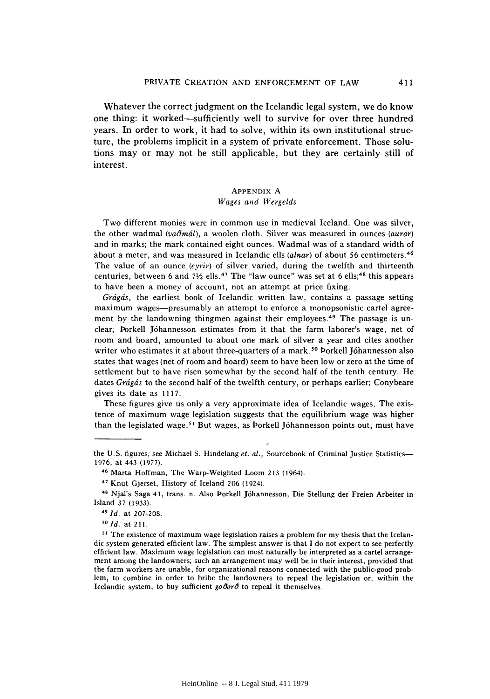Whatever the correct judgment on the Icelandic legal system, we do know one thing: it worked-sufficiently well to survive for over three hundred years. In order to work, it had to solve, within its own institutional structure, the problems implicit in a system of private enforcement. Those solutions may or may not be still applicable, but they are certainly still of interest.

# APPENDIX A *Wages and Wergelds*

Two different monies were in common use in medieval Iceland. One was silver, the other wadmal *(vaimdl),* a woolen cloth. Silver was measured in ounces *(aurar)* and in marks; the mark contained eight ounces. Wadmal was of a standard width of about a meter, and was measured in Icelandic ells *(alnar)* of about 56 centimeters.<sup>46</sup> The value of an ounce *(evrir)* of silver varied, during the twelfth and thirteenth centuries, between 6 and 7 $\frac{1}{2}$  ells.<sup>47</sup> The "law ounce" was set at 6 ells;<sup>48</sup> this appears to have been a money of account, not an attempt at price fixing.

*Grdgds,* the earliest book of Icelandic written law, contains a passage setting maximum wages—presumably an attempt to enforce a monopsonistic cartel agreement by the landowning thingmen against their employees.<sup>49</sup> The passage is unclear; borkell J6hannesson estimates from it that the farm laborer's wage, net of room and board, amounted to about one mark of silver a year and cites another writer who estimates it at about three-quarters of a mark.<sup>50</sup> Porkell Jóhannesson also states that wages (net of room and board) seem to have been low or zero at the time of settlement but to have risen somewhat by the second half of the tenth century. He dates *Grdgds* to the second half of the twelfth century, or perhaps earlier; Conybeare gives its date as 1117.

These figures give us only a very approximate idea of Icelandic wages. The existence of maximum wage legislation suggests that the equilibrium wage was higher than the legislated wage.<sup>51</sup> But wages, as Þorkell Jóhannesson points out, must have

the U.S. figures, see Michael S. Hindelang *et. al.,* Sourcebook of Criminal Justice Statistics-1976, at 443 (1977). 46 Marta Hoffman, The Warp-Weighted Loom 213 (1964).

<sup>41</sup> Knut Gjerset, History of Iceland 206 (1924).

<sup>&</sup>lt;sup>48</sup> Njal's Saga 41, trans. n. Also Þorkell Jóhannesson, Die Stellung der Freien Arbeiter in Island 37 (1933).

*<sup>41</sup> Id.* at 207-208.

*<sup>50</sup> Id.* at 211.

<sup>&</sup>lt;sup>51</sup> The existence of maximum wage legislation raises a problem for my thesis that the Icelandic system generated efficient law. The simplest answer is that I do not expect to see perfectly efficient law. Maximum wage legislation can most naturally be interpreted as a cartel arrangement among the landowners; such an arrangement may well be in their interest, provided that the farm workers are unable, for organizational reasons connected with the public-good problem, to combine in order to bribe the landowners to repeal the legislation or, within the Icelandic system, to buy sufficient *go borb* to repeal it themselves.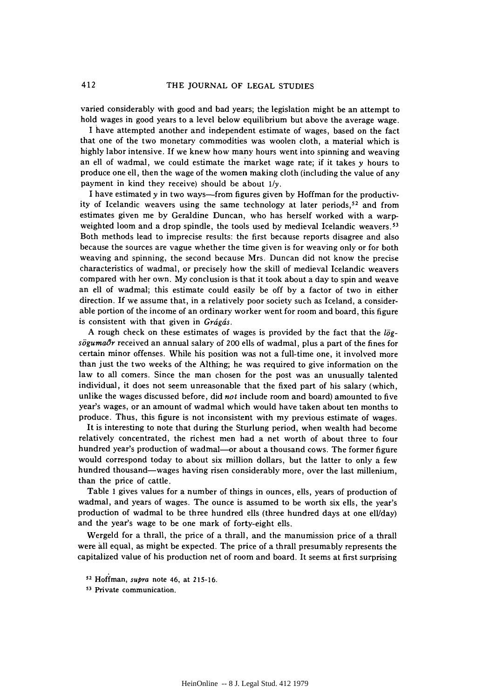varied considerably with good and bad years; the legislation might be an attempt to hold wages in good years to a level below equilibrium but above the average wage.

I have attempted another and independent estimate of wages, based on the fact that one of the two monetary commodities was woolen cloth, a material which is highly labor intensive. If we knew how many hours went into spinning and weaving an ell of wadmal, we could estimate the market wage rate; if it takes  $\nu$  hours to produce one ell, then the wage of the women making cloth (including the value of any payment in kind they receive) should be about l/y.

I have estimated **y** in two ways-from figures given **by** Hoffman for the productivity of Icelandic weavers using the same technology at later periods,  $5^2$  and from estimates given me **by** Geraldine Duncan, who has herself worked with a warpweighted loom and a drop spindle, the tools used **by** medieval Icelandic weavers.5 <sup>3</sup> Both methods lead to imprecise results: the first because reports disagree and also because the sources are vague whether the time given is for weaving only or for both weaving and spinning, the second because Mrs. Duncan did not know the precise characteristics of wadmal, or precisely how the skill of medieval Icelandic weavers compared with her own. **My** conclusion is that it took about a day to spin and weave an ell of wadmal; this estimate could easily be off **by** a factor of two in either direction. **If** we assume that, in a relatively poor society such as Iceland, a considerable portion of the income of an ordinary worker went for room and board, this figure is consistent with that given in Grágás.

A rough check on these estimates of wages is provided by the fact that the *logsogumatr* received an annual salary of 200 ells of wadmal, plus a part of the fines for certain minor offenses. While his position was not a full-time one, it involved more than just the two weeks of the Althing; he was required to give information on the law to all comers. Since the man chosen for the post was an unusually talented individual, it does not seem unreasonable that the fixed part of his salary (which, unlike the wages discussed before, did *not* include room and board) amounted to five year's wages, or an amount of wadmal which would have taken about ten months to produce. Thus, this figure is not inconsistent with my previous estimate of wages.

It is interesting to note that during the Sturlung period, when wealth had become relatively concentrated, the richest men had a net worth of about three to four hundred year's production of wadmal-or about a thousand cows. The former figure would correspond today to about six million dollars, but the latter to only a few hundred thousand—wages having risen considerably more, over the last millenium, than the price of cattle.

Table 1 gives values for a number of things in ounces, ells, years of production of wadmal, and years of wages. The ounce is assumed to be worth six ells, the year's production of wadmal to be three hundred ells (three hundred days at one ell/day) and the year's wage to be one mark of forty-eight ells.

Wergeld for a thrall, the price of a thrall, and the manumission price of a thrall were all equal, as might be expected. The price of a thrall presumably represents the capitalized value of his production net of room and board. It seems at first surprising

- **<sup>52</sup>**Hoffman, *supra* note 46, at **215-16.**
- **S3** Private communication.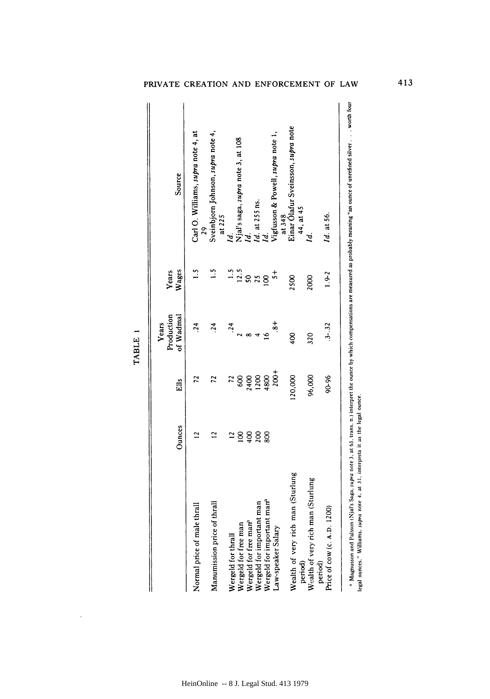|                                              |        |         | Production<br>of Wadmal<br><b>Vears</b> | Wages<br><b>Years</b> | Source                                                    |
|----------------------------------------------|--------|---------|-----------------------------------------|-----------------------|-----------------------------------------------------------|
|                                              | Ounces | Ells    |                                         |                       |                                                           |
| Normal price of male thrall                  |        |         | $^{24}$                                 | ن<br>-                | Carl O. Williams, supra note 4, at<br>29                  |
| Manumission price of thrall                  |        | 72      | $\frac{24}{5}$                          | $\frac{1}{1}$         | Sveinbjorn Johnson, supra note 4,<br>at 225               |
| Wergeld for thrall                           |        | 72      | .24                                     | $\frac{1}{2}$         | d                                                         |
| Wergeld for free man                         | 8      | 88      |                                         | 12.5                  | Njal's saga, supra note 3, at 108                         |
| Wergeld for free man <sup>1</sup>            | \$     | 2400    |                                         | $\mathbf{S}$          | Id.                                                       |
| Wergeld for important man                    | 200    | 1200    |                                         | 25                    | Id. at 255 ns.                                            |
| Wergeld for important man <sup>a</sup>       | 800    | 4800    | ≌                                       | $\overline{8}$        |                                                           |
| Law-speaker Salary                           |        | $200+$  | $\ddot{3}$                              |                       | Vigfusson & Powell, supra note 1,                         |
| Wealth of very rich man (Sturlung<br>period) |        | 120,000 | $\frac{6}{3}$                           | 2500                  | Einar Ólafur Sveinsson, supra note<br>44, at 45<br>at 348 |
| Wealth of very rich man (Sturlung<br>period) |        | 96,000  | 320                                     | 2000                  | 1d.                                                       |
| Price of cow (c. A.D. 1200)                  |        | 90-96   | $3 - 32$                                | $1.9 - 2$             | Id. at 56.                                                |

TABLE<sub>1</sub>

 $\bar{\mathcal{A}}$ 

.<br>≌  $\frac{1}{2}$ ż. Ē á unce <sup>a</sup> Magnusson and Palsson (Njal's Saga, supra note 3, at 63, trans. n.) interpret<br>legal ounces." Williams, supra note 4, at 31, interprets it as the legal ounce.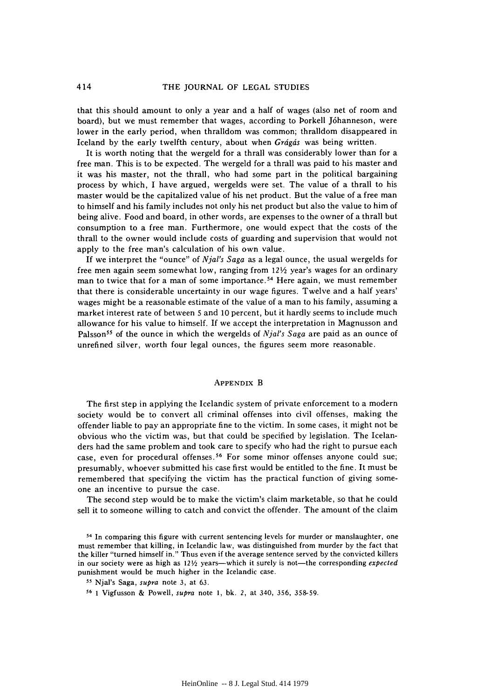that this should amount to only a year and a half of wages (also net of room and board), but we must remember that wages, according to Porkell Jóhanneson, were lower in the early period, when thralldom was common; thralldom disappeared in Iceland by the early twelfth century, about when *Grdgds* was being written.

It is worth noting that the wergeld for a thrall was considerably lower than for a free man. This is to be expected. The wergeld for a thrall was paid to his master and it was his master, not the thrall, who had some part in the political bargaining process by which, I have argued, wergelds were set. The value of a thrall to his master would be the capitalized value of his net product. But the value of a free man to himself and his family includes not only his net product but also the value to him of being alive. Food and board, in other words, are expenses to the owner of a thrall but consumption to a free man. Furthermore, one would expect that the costs of the thrall to the owner would include costs of guarding and supervision that would not apply to the free man's calculation of his own value.

If we interpret the "ounce" of *Njal's Saga* as a legal ounce, the usual wergelds for free men again seem somewhat low, ranging from  $12\frac{1}{2}$  year's wages for an ordinary man to twice that for a man of some importance.<sup>54</sup> Here again, we must remember that there is considerable uncertainty in our wage figures. Twelve and a half years' wages might be a reasonable estimate of the value of a man to his family, assuming a market interest rate of between **5** and 10 percent, but it hardly seems to include much allowance for his value to himself. If we accept the interpretation in Magnusson and Palsson 55 of the ounce in which the wergelds of *Njal's* Saga are paid as an ounce of unrefined silver, worth four legal ounces, the figures seem more reasonable.

#### APPENDIX B

The first step in applying the Icelandic system of private enforcement to a modern society would be to convert all criminal offenses into civil offenses, making the offender liable to pay an appropriate fine to the victim. In some cases, it might not be obvious who the victim was, but that could be specified by legislation. The Icelanders had the same problem and took care to specify who had the right to pursue each case, even for procedural offenses.<sup>56</sup> For some minor offenses anyone could sue; presumably, whoever submitted his case first would be entitled to the fine. It must be remembered that specifying the victim has the practical function of giving someone an incentive to pursue the case.

The second step would be to make the victim's claim marketable, so that he could sell it to someone willing to catch and convict the offender. The amount of the claim

<sup>54</sup> In comparing this figure with current sentencing levels for murder or manslaughter, one must remember that killing, in Icelandic law, was distinguished from murder by the fact that the killer "turned himself in." Thus even if the average sentence served by the convicted killers in our society were as high as  $12\frac{1}{2}$  years-which it surely is not-the corresponding *expected* punishment would be much higher in the Icelandic case.

**<sup>55</sup>**Njal's Saga, *supra* note 3, at 63.

**<sup>56</sup>**1 Vigfusson & Powell, *supra* note 1, bk. 2, at 340, 356, 358-59.